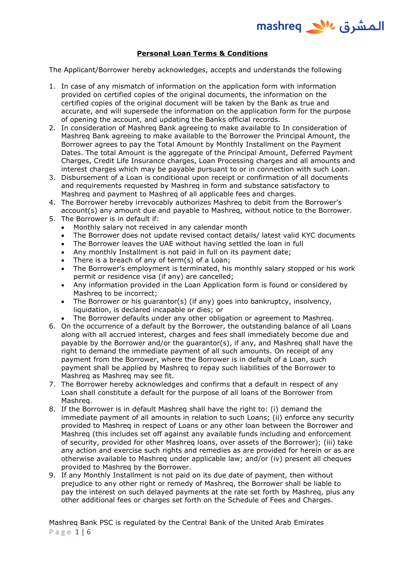

## **Personal Loan Terms & Conditions**

The Applicant/Borrower hereby acknowledges, accepts and understands the following

- 1. In case of any mismatch of information on the application form with information provided on certified copies of the original documents, the information on the certified copies of the original document will be taken by the Bank as true and accurate, and will supersede the information on the application form for the purpose of opening the account, and updating the Banks official records.
- 2. In consideration of Mashreq Bank agreeing to make available to In consideration of Mashreq Bank agreeing to make available to the Borrower the Principal Amount, the Borrower agrees to pay the Total Amount by Monthly Installment on the Payment Dates. The total Amount is the aggregate of the Principal Amount, Deferred Payment Charges, Credit Life Insurance charges, Loan Processing charges and all amounts and interest charges which may be payable pursuant to or in connection with such Loan.
- 3. Disbursement of a Loan is conditional upon receipt or confirmation of all documents and requirements requested by Mashreq in form and substance satisfactory to Mashreq and payment to Mashreq of all applicable fees and charges.
- 4. The Borrower hereby irrevocably authorizes Mashreq to debit from the Borrower's account(s) any amount due and payable to Mashreq, without notice to the Borrower.
- 5. The Borrower is in default if:
	- Monthly salary not received in any calendar month
	- The Borrower does not update revised contact details/ latest valid KYC documents
	- The Borrower leaves the UAE without having settled the loan in full
	- Any monthly Installment is not paid in full on its payment date;
	- There is a breach of any of term(s) of a Loan;
	- The Borrower's employment is terminated, his monthly salary stopped or his work permit or residence visa (if any) are cancelled;
	- Any information provided in the Loan Application form is found or considered by Mashreq to be incorrect;
	- The Borrower or his guarantor(s) (if any) goes into bankruptcy, insolvency, liquidation, is declared incapable or dies; or
	- The Borrower defaults under any other obligation or agreement to Mashreg.
- 6. On the occurrence of a default by the Borrower, the outstanding balance of all Loans along with all accrued interest, charges and fees shall immediately become due and payable by the Borrower and/or the guarantor(s), if any, and Mashreq shall have the right to demand the immediate payment of all such amounts. On receipt of any payment from the Borrower, where the Borrower is in default of a Loan, such payment shall be applied by Mashreq to repay such liabilities of the Borrower to Mashreq as Mashreq may see fit.
- 7. The Borrower hereby acknowledges and confirms that a default in respect of any Loan shall constitute a default for the purpose of all loans of the Borrower from Mashreq.
- 8. If the Borrower is in default Mashreq shall have the right to: (i) demand the immediate payment of all amounts in relation to such Loans; (ii) enforce any security provided to Mashreq in respect of Loans or any other loan between the Borrower and Mashreq (this includes set off against any available funds including and enforcement of security, provided for other Mashreq loans, over assets of the Borrower); (iii) take any action and exercise such rights and remedies as are provided for herein or as are otherwise available to Mashreq under applicable law; and/or (iv) present all cheques provided to Mashreq by the Borrower.
- 9. If any Monthly Installment is not paid on its due date of payment, then without prejudice to any other right or remedy of Mashreq, the Borrower shall be liable to pay the interest on such delayed payments at the rate set forth by Mashreq, plus any other additional fees or charges set forth on the Schedule of Fees and Charges.

Mashreq Bank PSC is regulated by the Central Bank of the United Arab Emirates P a g e 1 | 6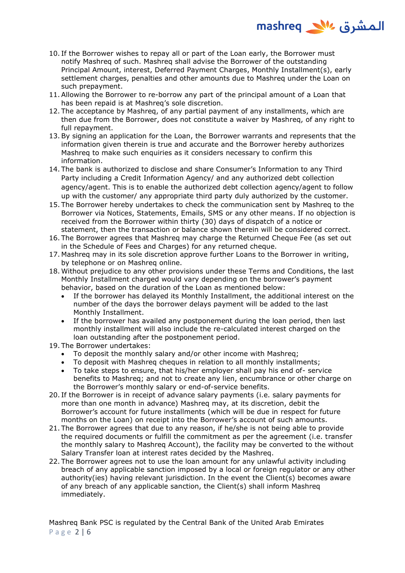- المشرق 1<sup>1</sup>⁄2 mashreq
- 10. If the Borrower wishes to repay all or part of the Loan early, the Borrower must notify Mashreq of such. Mashreq shall advise the Borrower of the outstanding Principal Amount, interest, Deferred Payment Charges, Monthly Installment(s), early settlement charges, penalties and other amounts due to Mashreq under the Loan on such prepayment.
- 11.Allowing the Borrower to re-borrow any part of the principal amount of a Loan that has been repaid is at Mashreq's sole discretion.
- 12. The acceptance by Mashreq, of any partial payment of any installments, which are then due from the Borrower, does not constitute a waiver by Mashreq, of any right to full repayment.
- 13.By signing an application for the Loan, the Borrower warrants and represents that the information given therein is true and accurate and the Borrower hereby authorizes Mashreq to make such enquiries as it considers necessary to confirm this information.
- 14. The bank is authorized to disclose and share Consumer's Information to any Third Party including a Credit Information Agency/ and any authorized debt collection agency/agent. This is to enable the authorized debt collection agency/agent to follow up with the customer/ any appropriate third party duly authorized by the customer.
- 15. The Borrower hereby undertakes to check the communication sent by Mashreq to the Borrower via Notices, Statements, Emails, SMS or any other means. If no objection is received from the Borrower within thirty (30) days of dispatch of a notice or statement, then the transaction or balance shown therein will be considered correct.
- 16. The Borrower agrees that Mashreq may charge the Returned Cheque Fee (as set out in the Schedule of Fees and Charges) for any returned cheque.
- 17. Mashreq may in its sole discretion approve further Loans to the Borrower in writing, by telephone or on Mashreq online.
- 18. Without prejudice to any other provisions under these Terms and Conditions, the last Monthly Installment charged would vary depending on the borrower's payment behavior, based on the duration of the Loan as mentioned below:
	- If the borrower has delayed its Monthly Installment, the additional interest on the number of the days the borrower delays payment will be added to the last Monthly Installment.
	- If the borrower has availed any postponement during the loan period, then last monthly installment will also include the re-calculated interest charged on the loan outstanding after the postponement period.

19. The Borrower undertakes:

- To deposit the monthly salary and/or other income with Mashreq;
- To deposit with Mashreg cheques in relation to all monthly installments;
- To take steps to ensure, that his/her employer shall pay his end of- service benefits to Mashreq; and not to create any lien, encumbrance or other charge on the Borrower's monthly salary or end-of-service benefits.
- 20. If the Borrower is in receipt of advance salary payments (i.e. salary payments for more than one month in advance) Mashreq may, at its discretion, debit the Borrower's account for future installments (which will be due in respect for future months on the Loan) on receipt into the Borrower's account of such amounts.
- 21. The Borrower agrees that due to any reason, if he/she is not being able to provide the required documents or fulfill the commitment as per the agreement (i.e. transfer the monthly salary to Mashreq Account), the facility may be converted to the without Salary Transfer loan at interest rates decided by the Mashreq.
- 22. The Borrower agrees not to use the loan amount for any unlawful activity including breach of any applicable sanction imposed by a local or foreign regulator or any other authority(ies) having relevant jurisdiction. In the event the Client(s) becomes aware of any breach of any applicable sanction, the Client(s) shall inform Mashreq immediately.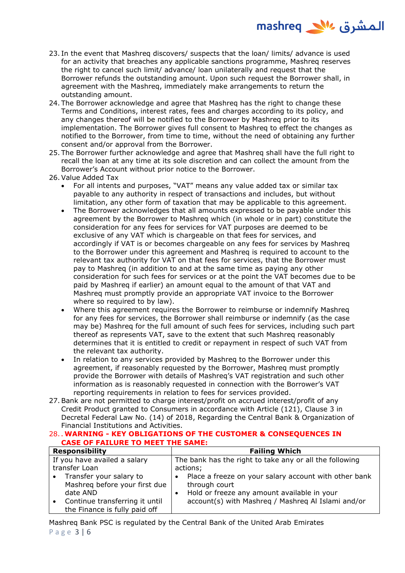

- 23. In the event that Mashreq discovers/ suspects that the loan/ limits/ advance is used for an activity that breaches any applicable sanctions programme, Mashreq reserves the right to cancel such limit/ advance/ loan unilaterally and request that the Borrower refunds the outstanding amount. Upon such request the Borrower shall, in agreement with the Mashreq, immediately make arrangements to return the outstanding amount.
- 24. The Borrower acknowledge and agree that Mashreq has the right to change these Terms and Conditions, interest rates, fees and charges according to its policy, and any changes thereof will be notified to the Borrower by Mashreq prior to its implementation. The Borrower gives full consent to Mashreq to effect the changes as notified to the Borrower, from time to time, without the need of obtaining any further consent and/or approval from the Borrower.
- 25. The Borrower further acknowledge and agree that Mashreq shall have the full right to recall the loan at any time at its sole discretion and can collect the amount from the Borrower's Account without prior notice to the Borrower.
- 26.Value Added Tax
	- For all intents and purposes, "VAT" means any value added tax or similar tax payable to any authority in respect of transactions and includes, but without limitation, any other form of taxation that may be applicable to this agreement.
	- The Borrower acknowledges that all amounts expressed to be payable under this agreement by the Borrower to Mashreq which (in whole or in part) constitute the consideration for any fees for services for VAT purposes are deemed to be exclusive of any VAT which is chargeable on that fees for services, and accordingly if VAT is or becomes chargeable on any fees for services by Mashreq to the Borrower under this agreement and Mashreq is required to account to the relevant tax authority for VAT on that fees for services, that the Borrower must pay to Mashreq (in addition to and at the same time as paying any other consideration for such fees for services or at the point the VAT becomes due to be paid by Mashreq if earlier) an amount equal to the amount of that VAT and Mashreq must promptly provide an appropriate VAT invoice to the Borrower where so required to by law).
	- Where this agreement requires the Borrower to reimburse or indemnify Mashreq for any fees for services, the Borrower shall reimburse or indemnify (as the case may be) Mashreq for the full amount of such fees for services, including such part thereof as represents VAT, save to the extent that such Mashreq reasonably determines that it is entitled to credit or repayment in respect of such VAT from the relevant tax authority.
	- In relation to any services provided by Mashreg to the Borrower under this agreement, if reasonably requested by the Borrower, Mashreq must promptly provide the Borrower with details of Mashreq's VAT registration and such other information as is reasonably requested in connection with the Borrower's VAT reporting requirements in relation to fees for services provided.
- 27.Bank are not permitted to charge interest/profit on accrued interest/profit of any Credit Product granted to Consumers in accordance with Article (121), Clause 3 in Decretal Federal Law No. (14) of 2018, Regarding the Central Bank & Organization of Financial Institutions and Activities.

## 28.**. WARNING - KEY OBLIGATIONS OF THE CUSTOMER & CONSEQUENCES IN CASE OF FAILURE TO MEET THE SAME:**

|                              | <b>Responsibility</b>                                                  | <b>Failing Which</b>                                                                                                    |  |  |
|------------------------------|------------------------------------------------------------------------|-------------------------------------------------------------------------------------------------------------------------|--|--|
| If you have availed a salary |                                                                        | The bank has the right to take any or all the following                                                                 |  |  |
| transfer Loan                |                                                                        | actions;                                                                                                                |  |  |
|                              | • Transfer your salary to<br>Mashreg before your first due<br>date AND | • Place a freeze on your salary account with other bank<br>through court<br>Hold or freeze any amount available in your |  |  |
|                              | Continue transferring it until<br>the Finance is fully paid off        | account(s) with Mashreg / Mashreg Al Islami and/or                                                                      |  |  |

Mashreq Bank PSC is regulated by the Central Bank of the United Arab Emirates P a g e 3 | 6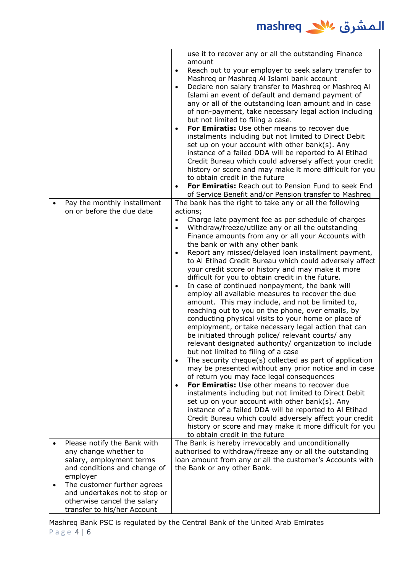

|                                                                                                                              | use it to recover any or all the outstanding Finance<br>amount<br>Reach out to your employer to seek salary transfer to<br>$\bullet$<br>Mashreq or Mashreq Al Islami bank account<br>Declare non salary transfer to Mashreg or Mashreg Al<br>$\bullet$<br>Islami an event of default and demand payment of<br>any or all of the outstanding loan amount and in case<br>of non-payment, take necessary legal action including<br>but not limited to filing a case.<br>For Emiratis: Use other means to recover due<br>$\bullet$<br>instalments including but not limited to Direct Debit<br>set up on your account with other bank(s). Any<br>instance of a failed DDA will be reported to Al Etihad<br>Credit Bureau which could adversely affect your credit<br>history or score and may make it more difficult for you<br>to obtain credit in the future<br>For Emiratis: Reach out to Pension Fund to seek End<br>of Service Benefit and/or Pension transfer to Mashreq                                                                                                                                                                                                                                                                                                                                                                                                                                                                                                                                                                                                                            |
|------------------------------------------------------------------------------------------------------------------------------|-------------------------------------------------------------------------------------------------------------------------------------------------------------------------------------------------------------------------------------------------------------------------------------------------------------------------------------------------------------------------------------------------------------------------------------------------------------------------------------------------------------------------------------------------------------------------------------------------------------------------------------------------------------------------------------------------------------------------------------------------------------------------------------------------------------------------------------------------------------------------------------------------------------------------------------------------------------------------------------------------------------------------------------------------------------------------------------------------------------------------------------------------------------------------------------------------------------------------------------------------------------------------------------------------------------------------------------------------------------------------------------------------------------------------------------------------------------------------------------------------------------------------------------------------------------------------------------------------------|
| Pay the monthly installment<br>on or before the due date                                                                     | The bank has the right to take any or all the following<br>actions;<br>Charge late payment fee as per schedule of charges<br>$\bullet$<br>Withdraw/freeze/utilize any or all the outstanding<br>$\bullet$<br>Finance amounts from any or all your Accounts with<br>the bank or with any other bank<br>Report any missed/delayed loan installment payment,<br>to Al Etihad Credit Bureau which could adversely affect<br>your credit score or history and may make it more<br>difficult for you to obtain credit in the future.<br>In case of continued nonpayment, the bank will<br>$\bullet$<br>employ all available measures to recover the due<br>amount. This may include, and not be limited to,<br>reaching out to you on the phone, over emails, by<br>conducting physical visits to your home or place of<br>employment, or take necessary legal action that can<br>be initiated through police/ relevant courts/ any<br>relevant designated authority/ organization to include<br>but not limited to filing of a case<br>The security cheque(s) collected as part of application<br>$\bullet$<br>may be presented without any prior notice and in case<br>of return you may face legal consequences<br>For Emiratis: Use other means to recover due<br>$\bullet$<br>instalments including but not limited to Direct Debit<br>set up on your account with other bank(s). Any<br>instance of a failed DDA will be reported to Al Etihad<br>Credit Bureau which could adversely affect your credit<br>history or score and may make it more difficult for you<br>to obtain credit in the future |
| Please notify the Bank with<br>any change whether to<br>salary, employment terms<br>and conditions and change of<br>employer | The Bank is hereby irrevocably and unconditionally<br>authorised to withdraw/freeze any or all the outstanding<br>loan amount from any or all the customer's Accounts with<br>the Bank or any other Bank.                                                                                                                                                                                                                                                                                                                                                                                                                                                                                                                                                                                                                                                                                                                                                                                                                                                                                                                                                                                                                                                                                                                                                                                                                                                                                                                                                                                             |
| The customer further agrees<br>and undertakes not to stop or<br>otherwise cancel the salary<br>transfer to his/her Account   |                                                                                                                                                                                                                                                                                                                                                                                                                                                                                                                                                                                                                                                                                                                                                                                                                                                                                                                                                                                                                                                                                                                                                                                                                                                                                                                                                                                                                                                                                                                                                                                                       |

Mashreq Bank PSC is regulated by the Central Bank of the United Arab Emirates P a g e 4 | 6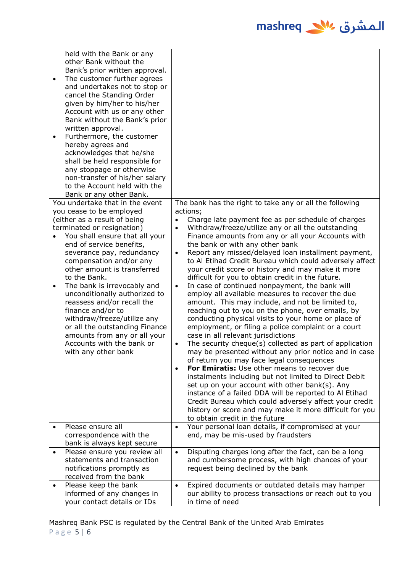| $\bullet$<br>٠ | held with the Bank or any<br>other Bank without the<br>Bank's prior written approval.<br>The customer further agrees<br>and undertakes not to stop or<br>cancel the Standing Order<br>given by him/her to his/her<br>Account with us or any other<br>Bank without the Bank's prior<br>written approval.<br>Furthermore, the customer<br>hereby agrees and<br>acknowledges that he/she<br>shall be held responsible for<br>any stoppage or otherwise<br>non-transfer of his/her salary<br>to the Account held with the<br>Bank or any other Bank. |                                                               |                                                                                                                                                                                                                                                                                                                                                                                                                                                                                                                                                                                                                                                                                                                                                                                                                                                                                                                                                                                                                                                                                                                                                                                                                                                                                                                         |
|----------------|--------------------------------------------------------------------------------------------------------------------------------------------------------------------------------------------------------------------------------------------------------------------------------------------------------------------------------------------------------------------------------------------------------------------------------------------------------------------------------------------------------------------------------------------------|---------------------------------------------------------------|-------------------------------------------------------------------------------------------------------------------------------------------------------------------------------------------------------------------------------------------------------------------------------------------------------------------------------------------------------------------------------------------------------------------------------------------------------------------------------------------------------------------------------------------------------------------------------------------------------------------------------------------------------------------------------------------------------------------------------------------------------------------------------------------------------------------------------------------------------------------------------------------------------------------------------------------------------------------------------------------------------------------------------------------------------------------------------------------------------------------------------------------------------------------------------------------------------------------------------------------------------------------------------------------------------------------------|
|                | You undertake that in the event                                                                                                                                                                                                                                                                                                                                                                                                                                                                                                                  |                                                               | The bank has the right to take any or all the following                                                                                                                                                                                                                                                                                                                                                                                                                                                                                                                                                                                                                                                                                                                                                                                                                                                                                                                                                                                                                                                                                                                                                                                                                                                                 |
| $\bullet$      | you cease to be employed<br>(either as a result of being<br>terminated or resignation)<br>You shall ensure that all your<br>end of service benefits,<br>severance pay, redundancy<br>compensation and/or any<br>other amount is transferred<br>to the Bank.<br>The bank is irrevocably and<br>unconditionally authorized to<br>reassess and/or recall the<br>finance and/or to<br>withdraw/freeze/utilize any<br>or all the outstanding Finance<br>amounts from any or all your<br>Accounts with the bank or<br>with any other bank              | $\bullet$<br>$\bullet$<br>$\bullet$<br>$\bullet$<br>$\bullet$ | actions;<br>Charge late payment fee as per schedule of charges<br>Withdraw/freeze/utilize any or all the outstanding<br>Finance amounts from any or all your Accounts with<br>the bank or with any other bank<br>Report any missed/delayed loan installment payment,<br>to Al Etihad Credit Bureau which could adversely affect<br>your credit score or history and may make it more<br>difficult for you to obtain credit in the future.<br>In case of continued nonpayment, the bank will<br>employ all available measures to recover the due<br>amount. This may include, and not be limited to,<br>reaching out to you on the phone, over emails, by<br>conducting physical visits to your home or place of<br>employment, or filing a police complaint or a court<br>case in all relevant jurisdictions<br>The security cheque(s) collected as part of application<br>may be presented without any prior notice and in case<br>of return you may face legal consequences<br>For Emiratis: Use other means to recover due<br>instalments including but not limited to Direct Debit<br>set up on your account with other bank(s). Any<br>instance of a failed DDA will be reported to Al Etihad<br>Credit Bureau which could adversely affect your credit<br>history or score and may make it more difficult for you |
|                | Please ensure all                                                                                                                                                                                                                                                                                                                                                                                                                                                                                                                                |                                                               | to obtain credit in the future<br>Your personal loan details, if compromised at your                                                                                                                                                                                                                                                                                                                                                                                                                                                                                                                                                                                                                                                                                                                                                                                                                                                                                                                                                                                                                                                                                                                                                                                                                                    |
|                | correspondence with the                                                                                                                                                                                                                                                                                                                                                                                                                                                                                                                          | $\bullet$                                                     | end, may be mis-used by fraudsters                                                                                                                                                                                                                                                                                                                                                                                                                                                                                                                                                                                                                                                                                                                                                                                                                                                                                                                                                                                                                                                                                                                                                                                                                                                                                      |
|                | bank is always kept secure                                                                                                                                                                                                                                                                                                                                                                                                                                                                                                                       |                                                               |                                                                                                                                                                                                                                                                                                                                                                                                                                                                                                                                                                                                                                                                                                                                                                                                                                                                                                                                                                                                                                                                                                                                                                                                                                                                                                                         |
| $\bullet$      | Please ensure you review all<br>statements and transaction                                                                                                                                                                                                                                                                                                                                                                                                                                                                                       | $\bullet$                                                     | Disputing charges long after the fact, can be a long<br>and cumbersome process, with high chances of your                                                                                                                                                                                                                                                                                                                                                                                                                                                                                                                                                                                                                                                                                                                                                                                                                                                                                                                                                                                                                                                                                                                                                                                                               |
|                | notifications promptly as<br>received from the bank                                                                                                                                                                                                                                                                                                                                                                                                                                                                                              |                                                               | request being declined by the bank                                                                                                                                                                                                                                                                                                                                                                                                                                                                                                                                                                                                                                                                                                                                                                                                                                                                                                                                                                                                                                                                                                                                                                                                                                                                                      |
| $\bullet$      | Please keep the bank                                                                                                                                                                                                                                                                                                                                                                                                                                                                                                                             | $\bullet$                                                     | Expired documents or outdated details may hamper                                                                                                                                                                                                                                                                                                                                                                                                                                                                                                                                                                                                                                                                                                                                                                                                                                                                                                                                                                                                                                                                                                                                                                                                                                                                        |
|                | informed of any changes in                                                                                                                                                                                                                                                                                                                                                                                                                                                                                                                       |                                                               | our ability to process transactions or reach out to you                                                                                                                                                                                                                                                                                                                                                                                                                                                                                                                                                                                                                                                                                                                                                                                                                                                                                                                                                                                                                                                                                                                                                                                                                                                                 |
|                | your contact details or IDs                                                                                                                                                                                                                                                                                                                                                                                                                                                                                                                      |                                                               | in time of need                                                                                                                                                                                                                                                                                                                                                                                                                                                                                                                                                                                                                                                                                                                                                                                                                                                                                                                                                                                                                                                                                                                                                                                                                                                                                                         |

Mashreq Bank PSC is regulated by the Central Bank of the United Arab Emirates P a g e 5 | 6